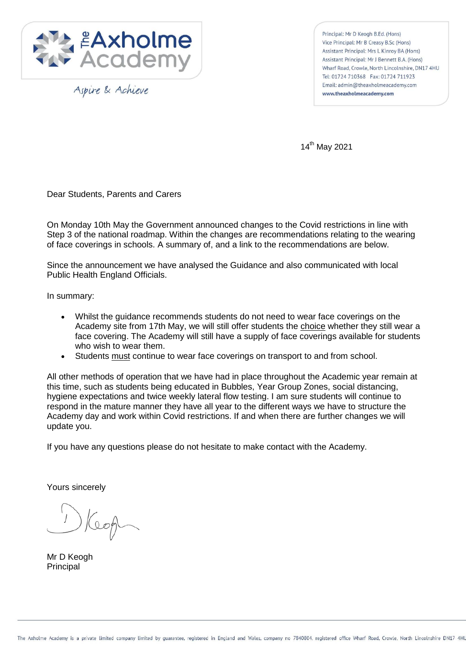

Aspire & Achieve

Principal: Mr D Keogh B.Ed. (Hons) Vice Principal: Mr B Creasy B.Sc (Hons) Assistant Principal: Mrs L Kinroy BA (Hons) Assistant Principal: Mr J Bennett B.A. (Hons) Wharf Road, Crowle, North Lincolnshire, DN17 4HU Tel: 01724 710368 Fax: 01724 711923 Email: admin@theaxholmeacademy.com www.theaxholmeacademy.com

14<sup>th</sup> May 2021

Dear Students, Parents and Carers

On Monday 10th May the Government announced changes to the Covid restrictions in line with Step 3 of the national roadmap. Within the changes are recommendations relating to the wearing of face coverings in schools. A summary of, and a link to the recommendations are below.

Since the announcement we have analysed the Guidance and also communicated with local Public Health England Officials.

In summary:

- Whilst the guidance recommends students do not need to wear face coverings on the Academy site from 17th May, we will still offer students the choice whether they still wear a face covering. The Academy will still have a supply of face coverings available for students who wish to wear them.
- Students must continue to wear face coverings on transport to and from school.

All other methods of operation that we have had in place throughout the Academic year remain at this time, such as students being educated in Bubbles, Year Group Zones, social distancing, hygiene expectations and twice weekly lateral flow testing. I am sure students will continue to respond in the mature manner they have all year to the different ways we have to structure the Academy day and work within Covid restrictions. If and when there are further changes we will update you.

If you have any questions please do not hesitate to make contact with the Academy.

Yours sincerely

Keop

Mr D Keogh Principal